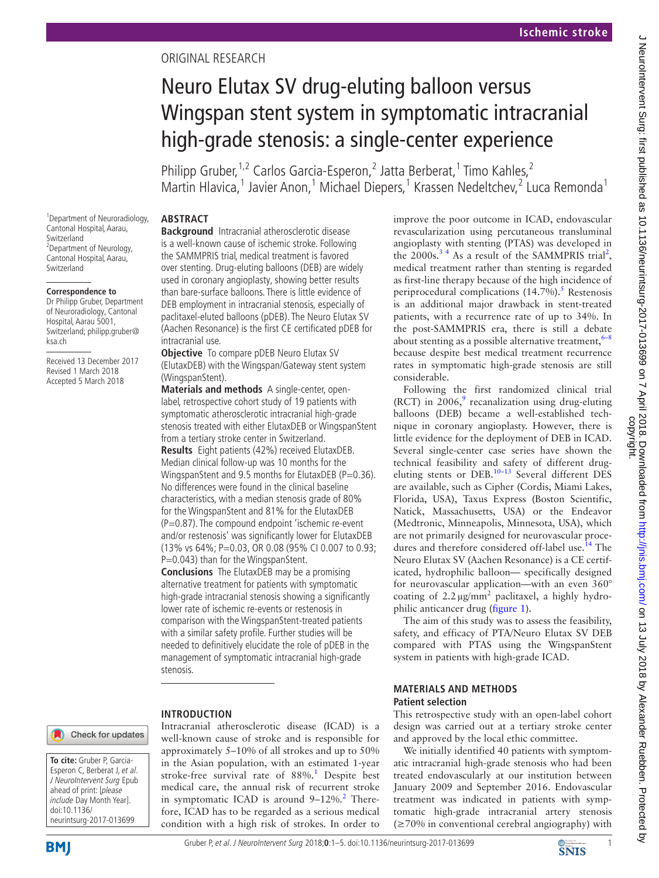# Original research

# Neuro Elutax SV drug-eluting balloon versus Wingspan stent system in symptomatic intracranial high-grade stenosis: a single-center experience

Philipp Gruber,<sup>1,2</sup> Carlos Garcia-Esperon,<sup>2</sup> Jatta Berberat,<sup>1</sup> Timo Kahles,<sup>2</sup> Martin Hlavica,<sup>1</sup> Javier Anon,<sup>1</sup> Michael Diepers,<sup>1</sup> Krassen Nedeltchev,<sup>2</sup> Luca Remonda<sup>1</sup>

## **Abstract**

1 Department of Neuroradiology, Cantonal Hospital, Aarau, Switzerland 2 Department of Neurology, Cantonal Hospital, Aarau, Switzerland

#### **Correspondence to**

Dr Philipp Gruber, Department of Neuroradiology, Cantonal Hospital, Aarau 5001, Switzerland; philipp.gruber@ ksa.ch

Received 13 December 2017 Revised 1 March 2018 Accepted 5 March 2018

**Background** Intracranial atherosclerotic disease is a well-known cause of ischemic stroke. Following the SAMMPRIS trial, medical treatment is favored over stenting. Drug-eluting balloons (DEB) are widely used in coronary angioplasty, showing better results than bare-surface balloons. There is little evidence of DEB employment in intracranial stenosis, especially of paclitaxel-eluted balloons (pDEB). The Neuro Elutax SV (Aachen Resonance) is the first CE certificated pDEB for intracranial use.

**Objective** To compare pDEB Neuro Elutax SV (ElutaxDEB) with the Wingspan/Gateway stent system (WingspanStent).

**Materials and methods** A single-center, openlabel, retrospective cohort study of 19 patients with symptomatic atherosclerotic intracranial high-grade stenosis treated with either ElutaxDEB or WingspanStent from a tertiary stroke center in Switzerland.

**Results** Eight patients (42%) received ElutaxDEB. Median clinical follow-up was 10 months for the WingspanStent and 9.5 months for ElutaxDEB ( $P=0.36$ ). No differences were found in the clinical baseline characteristics, with a median stenosis grade of 80% for the WingspanStent and 81% for the ElutaxDEB  $(P=0.87)$ . The compound endpoint 'ischemic re-event and/or restenosis' was significantly lower for ElutaxDEB (13% vs 64%; P=0.03, OR 0.08 (95% CI 0.007 to 0.93; P=0.043) than for the WingspanStent.

**Conclusions** The ElutaxDEB may be a promising alternative treatment for patients with symptomatic high-grade intracranial stenosis showing a significantly lower rate of ischemic re-events or restenosis in comparison with the WingspanStent-treated patients with a similar safety profile. Further studies will be needed to definitively elucidate the role of pDEB in the management of symptomatic intracranial high-grade stenosis.

Intracranial atherosclerotic disease (ICAD) is a well-known cause of stroke and is responsible for approximately 5–10% of all strokes and up to 50% in the Asian population, with an estimated 1-year stroke-free survival rate of 88%.<sup>1</sup> Despite best medical care, the annual risk of recurrent stroke in symptomatic ICAD is around 9-12%.<sup>2</sup> Therefore, ICAD has to be regarded as a serious medical condition with a high risk of strokes. In order to

## **Introduction**

#### Check for updates

**To cite:** Gruber P, Garcia-Esperon C, Berberat J, et al. J NeuroIntervent Surg Epub ahead of print: [please include Day Month Year]. doi:10.1136/ neurintsurg-2017-013699

**BMI** 



J NeuroIntervent Surg: first published as 10.1136/neurintsurg-2017-013699 on 7 April 2018. Downloaded from http://jnis.bmj.com/ on 13 July 2018 by Alexander Ruebben. Protected by<br>copyright. J NeuroIntervent Surg: first published as 10.1136/neurintsurg-2017-013699 on 7 April 2018. Downloaded from on 13 July 2018 by Alexander Ruebben. Protected by

improve the poor outcome in ICAD, endovascular revascularization using percutaneous transluminal angioplasty with stenting (PTAS) was developed in the  $2000s^{3/4}$  As a result of the SAMMPRIS trial<sup>2</sup>, medical treatment rather than stenting is regarded as first-line therapy because of the high incidence of periprocedural complications  $(14.7%)$ .<sup>5</sup> Restenosis is an additional major drawback in stent-treated patients, with a recurrence rate of up to 34%. In the post-SAMMPRIS era, there is still a debate about stenting as a possible alternative treatment,  $6-8$ because despite best medical treatment recurrence rates in symptomatic high-grade stenosis are still considerable.

Following the first randomized clinical trial (RCT) in 2006,<sup>9</sup> recanalization using drug-eluting balloons (DEB) became a well-established technique in coronary angioplasty. However, there is little evidence for the deployment of DEB in ICAD. Several single-center case series have shown the technical feasibility and safety of different drugeluting stents or DEB. $10-13$  Several different DES are available, such as Cipher (Cordis, Miami Lakes, Florida, USA), Taxus Express (Boston Scientific, Natick, Massachusetts, USA) or the Endeavor (Medtronic, Minneapolis, Minnesota, USA), which are not primarily designed for neurovascular procedures and therefore considered off-label use.<sup>14</sup> The Neuro Elutax SV (Aachen Resonance) is a CE certificated, hydrophilic balloon— specifically designed for neurovascular application—with an even 360° coating of  $2.2 \mu g/mm^2$  paclitaxel, a highly hydrophilic anticancer drug (figure 1).

The aim of this study was to assess the feasibility, safety, and efficacy of PTA/Neuro Elutax SV DEB compared with PTAS using the WingspanStent system in patients with high-grade ICAD.

## **Materials and methods Patient selection**

This retrospective study with an open-label cohort design was carried out at a tertiary stroke center and approved by the local ethic committee.

We initially identified 40 patients with symptomatic intracranial high-grade stenosis who had been treated endovascularly at our institution between January 2009 and September 2016. Endovascular treatment was indicated in patients with symptomatic high-grade intracranial artery stenosis (≥70% in conventional cerebral angiography) with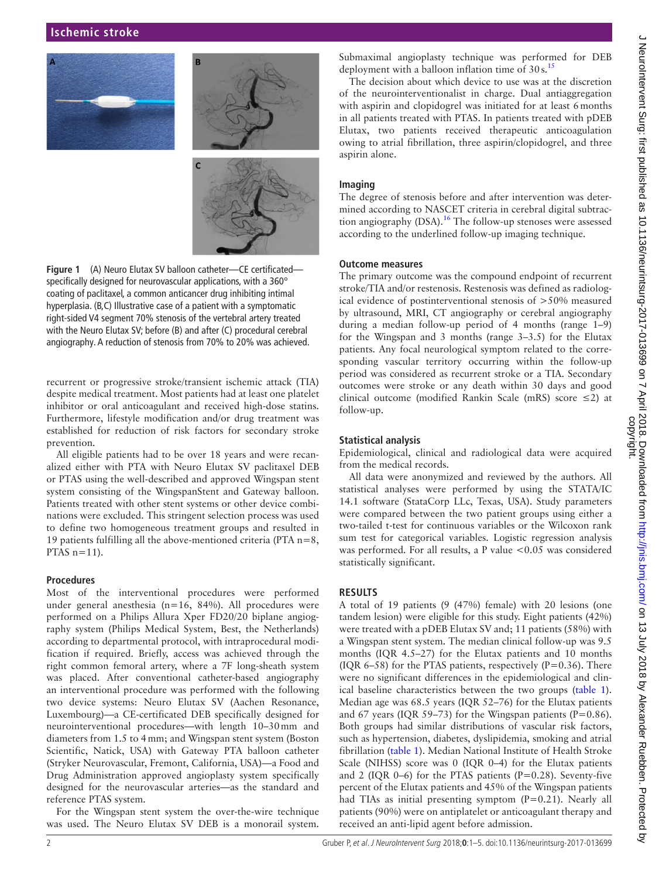





**Figure 1** (A) Neuro Elutax SV balloon catheter—CE certificated specifically designed for neurovascular applications, with a 360° coating of paclitaxel, a common anticancer drug inhibiting intimal hyperplasia. (B,C) Illustrative case of a patient with a symptomatic right-sided V4 segment 70% stenosis of the vertebral artery treated with the Neuro Elutax SV; before (B) and after (C) procedural cerebral angiography. A reduction of stenosis from 70% to 20% was achieved.

recurrent or progressive stroke/transient ischemic attack (TIA) despite medical treatment. Most patients had at least one platelet inhibitor or oral anticoagulant and received high-dose statins. Furthermore, lifestyle modification and/or drug treatment was established for reduction of risk factors for secondary stroke prevention.

All eligible patients had to be over 18 years and were recanalized either with PTA with Neuro Elutax SV paclitaxel DEB or PTAS using the well-described and approved Wingspan stent system consisting of the WingspanStent and Gateway balloon. Patients treated with other stent systems or other device combinations were excluded. This stringent selection process was used to define two homogeneous treatment groups and resulted in 19 patients fulfilling all the above-mentioned criteria (PTA n=8, PTAS  $n=11$ ).

#### **Procedures**

Most of the interventional procedures were performed under general anesthesia (n=16, 84%). All procedures were performed on a Philips Allura Xper FD20/20 biplane angiography system (Philips Medical System, Best, the Netherlands) according to departmental protocol, with intraprocedural modification if required. Briefly, access was achieved through the right common femoral artery, where a 7F long-sheath system was placed. After conventional catheter-based angiography an interventional procedure was performed with the following two device systems: Neuro Elutax SV (Aachen Resonance, Luxembourg)—a CE-certificated DEB specifically designed for neurointerventional procedures—with length 10–30mm and diameters from 1.5 to 4mm; and Wingspan stent system (Boston Scientific, Natick, USA) with Gateway PTA balloon catheter (Stryker Neurovascular, Fremont, California, USA)—a Food and Drug Administration approved angioplasty system specifically designed for the neurovascular arteries—as the standard and reference PTAS system.

For the Wingspan stent system the over-the-wire technique was used. The Neuro Elutax SV DEB is a monorail system.

Submaximal angioplasty technique was performed for DEB deployment with a balloon inflation time of  $30s$ .<sup>15</sup>

The decision about which device to use was at the discretion of the neurointerventionalist in charge. Dual antiaggregation with aspirin and clopidogrel was initiated for at least 6months in all patients treated with PTAS. In patients treated with pDEB Elutax, two patients received therapeutic anticoagulation owing to atrial fibrillation, three aspirin/clopidogrel, and three aspirin alone.

#### **Imaging**

The degree of stenosis before and after intervention was determined according to NASCET criteria in cerebral digital subtraction angiography (DSA).<sup>16</sup> The follow-up stenoses were assessed according to the underlined follow-up imaging technique.

#### **Outcome measures**

The primary outcome was the compound endpoint of recurrent stroke/TIA and/or restenosis. Restenosis was defined as radiological evidence of postinterventional stenosis of >50% measured by ultrasound, MRI, CT angiography or cerebral angiography during a median follow-up period of 4 months (range 1–9) for the Wingspan and 3 months (range 3–3.5) for the Elutax patients. Any focal neurological symptom related to the corresponding vascular territory occurring within the follow-up period was considered as recurrent stroke or a TIA. Secondary outcomes were stroke or any death within 30 days and good clinical outcome (modified Rankin Scale (mRS) score ≤2) at follow-up.

### **Statistical analysis**

Epidemiological, clinical and radiological data were acquired from the medical records.

All data were anonymized and reviewed by the authors. All statistical analyses were performed by using the STATA/IC 14.1 software (StataCorp LLc, Texas, USA). Study parameters were compared between the two patient groups using either a two-tailed t-test for continuous variables or the Wilcoxon rank sum test for categorical variables. Logistic regression analysis was performed. For all results, a P value <0.05 was considered statistically significant.

## **Results**

A total of 19 patients (9 (47%) female) with 20 lesions (one tandem lesion) were eligible for this study. Eight patients (42%) were treated with a pDEB Elutax SV and; 11 patients (58%) with a Wingspan stent system. The median clinical follow-up was 9.5 months (IQR 4.5–27) for the Elutax patients and 10 months (IQR 6–58) for the PTAS patients, respectively (P=0.36). There were no significant differences in the epidemiological and clinical baseline characteristics between the two groups (table 1). Median age was 68.5 years (IQR 52–76) for the Elutax patients and 67 years (IQR 59–73) for the Wingspan patients (P=0.86). Both groups had similar distributions of vascular risk factors, such as hypertension, diabetes, dyslipidemia, smoking and atrial fibrillation (table 1). Median National Institute of Health Stroke Scale (NIHSS) score was 0 (IQR 0–4) for the Elutax patients and 2 (IQR  $0-6$ ) for the PTAS patients (P=0.28). Seventy-five percent of the Elutax patients and 45% of the Wingspan patients had TIAs as initial presenting symptom  $(P=0.21)$ . Nearly all patients (90%) were on antiplatelet or anticoagulant therapy and received an anti-lipid agent before admission.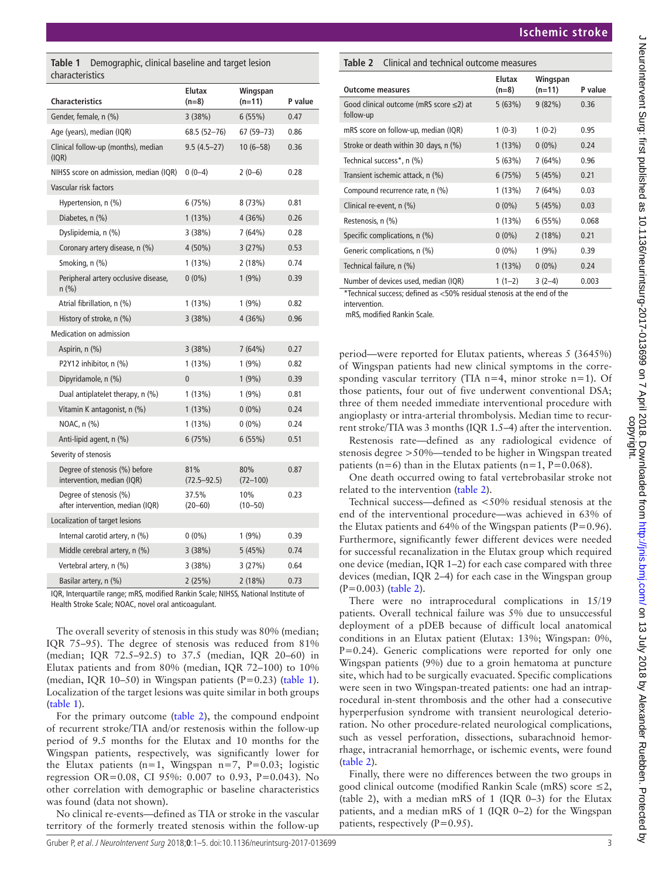## **Table 1** Demographic, clinical baseline and target lesion characteristics

| <b>Characteristics</b>                                      | Elutax<br>(n=8)        | Wingspan<br>$(n=11)$ | P value |
|-------------------------------------------------------------|------------------------|----------------------|---------|
| Gender, female, n (%)                                       | 3(38%)                 | 6(55%)               | 0.47    |
| Age (years), median (IQR)                                   | 68.5 (52-76)           | 67 (59-73)           | 0.86    |
| Clinical follow-up (months), median<br>(IQR)                | $9.5(4.5-27)$          | $10(6 - 58)$         | 0.36    |
| NIHSS score on admission, median (IQR)                      | $0(0-4)$               | $2(0-6)$             | 0.28    |
| Vascular risk factors                                       |                        |                      |         |
| Hypertension, n (%)                                         | 6(75%)                 | 8(73%)               | 0.81    |
| Diabetes, n (%)                                             | 1(13%)                 | 4(36%)               | 0.26    |
| Dyslipidemia, n (%)                                         | 3(38%)                 | 7(64%)               | 0.28    |
| Coronary artery disease, n (%)                              | $4(50\%)$              | 3(27%)               | 0.53    |
| Smoking, n (%)                                              | 1 (13%)                | 2(18%)               | 0.74    |
| Peripheral artery occlusive disease,<br>$n$ (%)             | $0(0\%)$               | $1(9\%)$             | 0.39    |
| Atrial fibrillation, n (%)                                  | 1 (13%)                | $1(9\%)$             | 0.82    |
| History of stroke, n (%)                                    | 3(38%)                 | 4(36%)               | 0.96    |
| <b>Medication on admission</b>                              |                        |                      |         |
| Aspirin, n (%)                                              | 3(38%)                 | 7(64%)               | 0.27    |
| P2Y12 inhibitor, n (%)                                      | 1 (13%)                | 1(9%)                | 0.82    |
| Dipyridamole, n (%)                                         | $\mathbf{0}$           | 1(9%)                | 0.39    |
| Dual antiplatelet therapy, n (%)                            | 1(13%)                 | 1(9%)                | 0.81    |
| Vitamin K antagonist, n (%)                                 | 1(13%)                 | $0(0\%)$             | 0.24    |
| NOAC, n (%)                                                 | 1 (13%)                | $0(0\%)$             | 0.24    |
| Anti-lipid agent, n (%)                                     | 6(75%)                 | 6(55%)               | 0.51    |
| Severity of stenosis                                        |                        |                      |         |
| Degree of stenosis (%) before<br>intervention, median (IQR) | 81%<br>$(72.5 - 92.5)$ | 80%<br>$(72 - 100)$  | 0.87    |
| Degree of stenosis (%)<br>after intervention, median (IQR)  | 37.5%<br>$(20 - 60)$   | 10%<br>$(10 - 50)$   | 0.23    |
| Localization of target lesions                              |                        |                      |         |
| Internal carotid artery, n (%)                              | $0(0\%)$               | 1(9%)                | 0.39    |
| Middle cerebral artery, n (%)                               | 3(38%)                 | 5(45%)               | 0.74    |
| Vertebral artery, n (%)                                     | 3(38%)                 | 3(27%)               | 0.64    |
| Basilar artery, n (%)                                       | 2(25%)                 | 2(18%)               | 0.73    |

IQR, Interquartile range; mRS, modified Rankin Scale; NIHSS, National Institute of Health Stroke Scale; NOAC, novel oral anticoagulant.

The overall severity of stenosis in this study was 80% (median; IQR 75–95). The degree of stenosis was reduced from 81% (median; IQR 72.5–92.5) to 37.5 (median, IQR 20–60) in Elutax patients and from 80% (median, IQR 72–100) to 10% (median, IQR 10–50) in Wingspan patients  $(P=0.23)$  (table 1). Localization of the target lesions was quite similar in both groups (table 1).

For the primary outcome (table 2), the compound endpoint of recurrent stroke/TIA and/or restenosis within the follow-up period of 9.5 months for the Elutax and 10 months for the Wingspan patients, respectively, was significantly lower for the Elutax patients (n=1, Wingspan n=7, P=0.03; logistic regression OR=0.08, CI 95%: 0.007 to 0.93, P=0.043). No other correlation with demographic or baseline characteristics was found (data not shown).

No clinical re-events—defined as TIA or stroke in the vascular territory of the formerly treated stenosis within the follow-up

| <b>Outcome measures</b>                              | Elutax<br>$(n=8)$ | Wingspan<br>$(n=11)$ | P value |
|------------------------------------------------------|-------------------|----------------------|---------|
| Good clinical outcome (mRS score ≤2) at<br>follow-up | 5(63%)            | 9(82%)               | 0.36    |
| mRS score on follow-up, median (IQR)                 | $1(0-3)$          | $1(0-2)$             | 0.95    |
| Stroke or death within 30 days, n (%)                | 1(13%)            | $0(0\%)$             | 0.24    |
| Technical success*, n (%)                            | 5(63%)            | 7(64%)               | 0.96    |
| Transient ischemic attack, n (%)                     | 6(75%)            | 5(45%)               | 0.21    |
| Compound recurrence rate, n (%)                      | 1(13%)            | 7(64%)               | 0.03    |
| Clinical re-event, n (%)                             | $0(0\%)$          | 5(45%)               | 0.03    |
| Restenosis, n (%)                                    | 1(13%)            | 6(55%)               | 0.068   |
| Specific complications, n (%)                        | $0(0\%)$          | 2(18%)               | 0.21    |
| Generic complications, n (%)                         | $0(0\%)$          | 1(9%)                | 0.39    |
| Technical failure, n (%)                             | 1(13%)            | $0(0\%)$             | 0.24    |
| Number of devices used, median (IQR)                 | $1(1-2)$          | $3(2-4)$             | 0.003   |

\*Technical success; defined as <50% residual stenosis at the end of the intervention.

mRS, modified Rankin Scale.

period—were reported for Elutax patients, whereas 5 (3645%) of Wingspan patients had new clinical symptoms in the corresponding vascular territory (TIA n=4, minor stroke n=1). Of those patients, four out of five underwent conventional DSA; three of them needed immediate interventional procedure with angioplasty or intra-arterial thrombolysis. Median time to recurrent stroke/TIA was 3 months (IQR 1.5–4) after the intervention.

Restenosis rate—defined as any radiological evidence of stenosis degree >50%—tended to be higher in Wingspan treated patients (n=6) than in the Elutax patients (n=1,  $P=0.068$ ).

One death occurred owing to fatal vertebrobasilar stroke not related to the intervention (table 2).

Technical success—defined as <50% residual stenosis at the end of the interventional procedure—was achieved in 63% of the Elutax patients and 64% of the Wingspan patients ( $P=0.96$ ). Furthermore, significantly fewer different devices were needed for successful recanalization in the Elutax group which required one device (median, IQR 1–2) for each case compared with three devices (median, IQR 2–4) for each case in the Wingspan group  $(P=0.003)$  (table 2).

There were no intraprocedural complications in 15/19 patients. Overall technical failure was 5% due to unsuccessful deployment of a pDEB because of difficult local anatomical conditions in an Elutax patient (Elutax: 13%; Wingspan: 0%, P=0.24). Generic complications were reported for only one Wingspan patients (9%) due to a groin hematoma at puncture site, which had to be surgically evacuated. Specific complications were seen in two Wingspan-treated patients: one had an intraprocedural in-stent thrombosis and the other had a consecutive hyperperfusion syndrome with transient neurological deterioration. No other procedure-related neurological complications, such as vessel perforation, dissections, subarachnoid hemorrhage, intracranial hemorrhage, or ischemic events, were found (table 2).

Finally, there were no differences between the two groups in good clinical outcome (modified Rankin Scale (mRS) score ≤2, (table 2), with a median mRS of 1 (IQR  $0-3$ ) for the Elutax patients, and a median mRS of 1 (IQR 0–2) for the Wingspan patients, respectively  $(P=0.95)$ .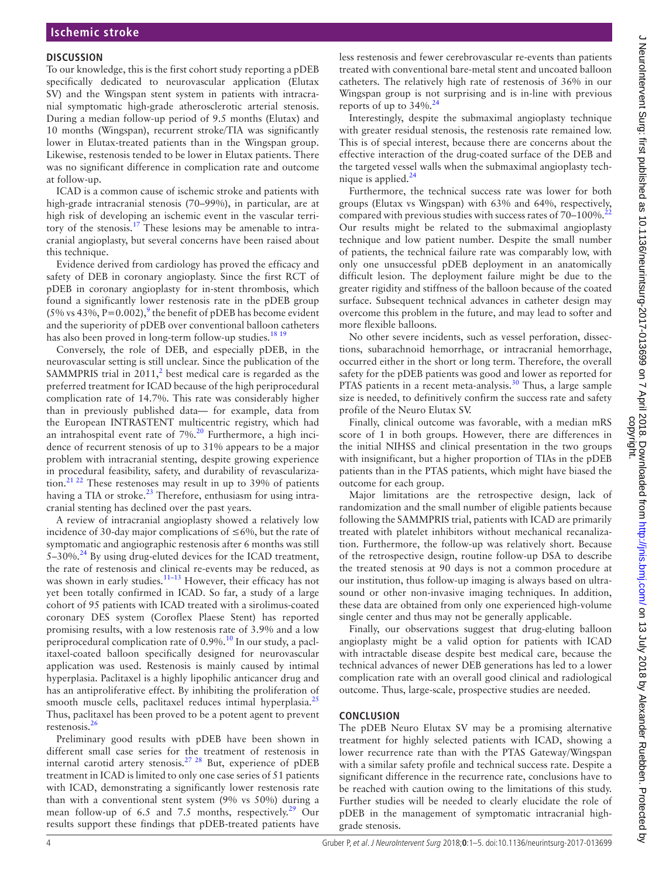#### **Discussion**

To our knowledge, this is the first cohort study reporting a pDEB specifically dedicated to neurovascular application (Elutax SV) and the Wingspan stent system in patients with intracranial symptomatic high-grade atherosclerotic arterial stenosis. During a median follow-up period of 9.5 months (Elutax) and 10 months (Wingspan), recurrent stroke/TIA was significantly lower in Elutax-treated patients than in the Wingspan group. Likewise, restenosis tended to be lower in Elutax patients. There was no significant difference in complication rate and outcome at follow-up.

ICAD is a common cause of ischemic stroke and patients with high-grade intracranial stenosis (70–99%), in particular, are at high risk of developing an ischemic event in the vascular territory of the stenosis.<sup>17</sup> These lesions may be amenable to intracranial angioplasty, but several concerns have been raised about this technique.

Evidence derived from cardiology has proved the efficacy and safety of DEB in coronary angioplasty. Since the first RCT of pDEB in coronary angioplasty for in-stent thrombosis, which found a significantly lower restenosis rate in the pDEB group (5% vs 43%, P=0.002),<sup>9</sup> the benefit of pDEB has become evident and the superiority of pDEB over conventional balloon catheters has also been proved in long-term follow-up studies.<sup>18 19</sup>

Conversely, the role of DEB, and especially pDEB, in the neurovascular setting is still unclear. Since the publication of the SAMMPRIS trial in  $2011$ ,<sup>2</sup> best medical care is regarded as the preferred treatment for ICAD because of the high periprocedural complication rate of 14.7%. This rate was considerably higher than in previously published data— for example, data from the European INTRASTENT multicentric registry, which had an intrahospital event rate of  $7\%$ .<sup>20</sup> Furthermore, a high incidence of recurrent stenosis of up to 31% appears to be a major problem with intracranial stenting, despite growing experience in procedural feasibility, safety, and durability of revascularization.21 22 These restenoses may result in up to 39% of patients having a TIA or stroke. $^{23}$  Therefore, enthusiasm for using intracranial stenting has declined over the past years.

A review of intracranial angioplasty showed a relatively low incidence of 30-day major complications of  $\leq 6\%$ , but the rate of symptomatic and angiographic restenosis after 6 months was still  $5-30\%$ .<sup>24</sup> By using drug-eluted devices for the ICAD treatment, the rate of restenosis and clinical re-events may be reduced, as was shown in early studies.<sup>11–13</sup> However, their efficacy has not yet been totally confirmed in ICAD. So far, a study of a large cohort of 95 patients with ICAD treated with a sirolimus-coated coronary DES system (Coroflex Plaese Stent) has reported promising results, with a low restenosis rate of 3.9% and a low periprocedural complication rate of 0.9%.<sup>10</sup> In our study, a paclitaxel-coated balloon specifically designed for neurovascular application was used. Restenosis is mainly caused by intimal hyperplasia. Paclitaxel is a highly lipophilic anticancer drug and has an antiproliferative effect. By inhibiting the proliferation of smooth muscle cells, paclitaxel reduces intimal hyperplasia. $^{25}$ Thus, paclitaxel has been proved to be a potent agent to prevent restenosis. $2<sup>6</sup>$ 

Preliminary good results with pDEB have been shown in different small case series for the treatment of restenosis in internal carotid artery stenosis.<sup>27</sup> <sup>28</sup> But, experience of pDEB treatment in ICAD is limited to only one case series of 51 patients with ICAD, demonstrating a significantly lower restenosis rate than with a conventional stent system (9% vs 50%) during a mean follow-up of 6.5 and 7.5 months, respectively.<sup>29</sup> Our results support these findings that pDEB-treated patients have less restenosis and fewer cerebrovascular re-events than patients treated with conventional bare-metal stent and uncoated balloon catheters. The relatively high rate of restenosis of 36% in our Wingspan group is not surprising and is in-line with previous reports of up to  $34\%$ .<sup>24</sup>

Interestingly, despite the submaximal angioplasty technique with greater residual stenosis, the restenosis rate remained low. This is of special interest, because there are concerns about the effective interaction of the drug-coated surface of the DEB and the targeted vessel walls when the submaximal angioplasty technique is applied. $24$ 

Furthermore, the technical success rate was lower for both groups (Elutax vs Wingspan) with 63% and 64%, respectively, compared with previous studies with success rates of 70-100%.<sup>22</sup> Our results might be related to the submaximal angioplasty technique and low patient number. Despite the small number of patients, the technical failure rate was comparably low, with only one unsuccessful pDEB deployment in an anatomically difficult lesion. The deployment failure might be due to the greater rigidity and stiffness of the balloon because of the coated surface. Subsequent technical advances in catheter design may overcome this problem in the future, and may lead to softer and more flexible balloons.

No other severe incidents, such as vessel perforation, dissections, subarachnoid hemorrhage, or intracranial hemorrhage, occurred either in the short or long term. Therefore, the overall safety for the pDEB patients was good and lower as reported for PTAS patients in a recent meta-analysis.<sup>30</sup> Thus, a large sample size is needed, to definitively confirm the success rate and safety profile of the Neuro Elutax SV.

Finally, clinical outcome was favorable, with a median mRS score of 1 in both groups. However, there are differences in the initial NIHSS and clinical presentation in the two groups with insignificant, but a higher proportion of TIAs in the pDEB patients than in the PTAS patients, which might have biased the outcome for each group.

Major limitations are the retrospective design, lack of randomization and the small number of eligible patients because following the SAMMPRIS trial, patients with ICAD are primarily treated with platelet inhibitors without mechanical recanalization. Furthermore, the follow-up was relatively short. Because of the retrospective design, routine follow-up DSA to describe the treated stenosis at 90 days is not a common procedure at our institution, thus follow-up imaging is always based on ultrasound or other non-invasive imaging techniques. In addition, these data are obtained from only one experienced high-volume single center and thus may not be generally applicable.

Finally, our observations suggest that drug-eluting balloon angioplasty might be a valid option for patients with ICAD with intractable disease despite best medical care, because the technical advances of newer DEB generations has led to a lower complication rate with an overall good clinical and radiological outcome. Thus, large-scale, prospective studies are needed.

#### **Conclusion**

The pDEB Neuro Elutax SV may be a promising alternative treatment for highly selected patients with ICAD, showing a lower recurrence rate than with the PTAS Gateway/Wingspan with a similar safety profile and technical success rate. Despite a significant difference in the recurrence rate, conclusions have to be reached with caution owing to the limitations of this study. Further studies will be needed to clearly elucidate the role of pDEB in the management of symptomatic intracranial highgrade stenosis.